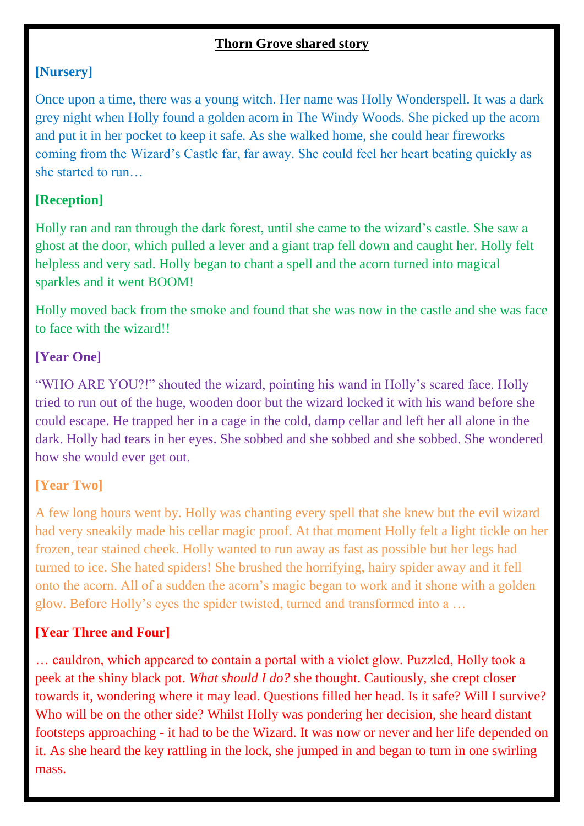### **Thorn Grove shared story**

## **[Nursery]**

Once upon a time, there was a young witch. Her name was Holly Wonderspell. It was a dark grey night when Holly found a golden acorn in The Windy Woods. She picked up the acorn and put it in her pocket to keep it safe. As she walked home, she could hear fireworks coming from the Wizard's Castle far, far away. She could feel her heart beating quickly as she started to run…

# **[Reception]**

Holly ran and ran through the dark forest, until she came to the wizard's castle. She saw a ghost at the door, which pulled a lever and a giant trap fell down and caught her. Holly felt helpless and very sad. Holly began to chant a spell and the acorn turned into magical sparkles and it went BOOM!

Holly moved back from the smoke and found that she was now in the castle and she was face to face with the wizard!!

### **[Year One]**

"WHO ARE YOU?!" shouted the wizard, pointing his wand in Holly's scared face. Holly tried to run out of the huge, wooden door but the wizard locked it with his wand before she could escape. He trapped her in a cage in the cold, damp cellar and left her all alone in the dark. Holly had tears in her eyes. She sobbed and she sobbed and she sobbed. She wondered how she would ever get out.

### **[Year Two]**

A few long hours went by. Holly was chanting every spell that she knew but the evil wizard had very sneakily made his cellar magic proof. At that moment Holly felt a light tickle on her frozen, tear stained cheek. Holly wanted to run away as fast as possible but her legs had turned to ice. She hated spiders! She brushed the horrifying, hairy spider away and it fell onto the acorn. All of a sudden the acorn's magic began to work and it shone with a golden glow. Before Holly's eyes the spider twisted, turned and transformed into a …

### **[Year Three and Four]**

… cauldron, which appeared to contain a portal with a violet glow. Puzzled, Holly took a peek at the shiny black pot. *What should I do?* she thought. Cautiously, she crept closer towards it, wondering where it may lead. Questions filled her head. Is it safe? Will I survive? Who will be on the other side? Whilst Holly was pondering her decision, she heard distant footsteps approaching - it had to be the Wizard. It was now or never and her life depended on it. As she heard the key rattling in the lock, she jumped in and began to turn in one swirling mass.